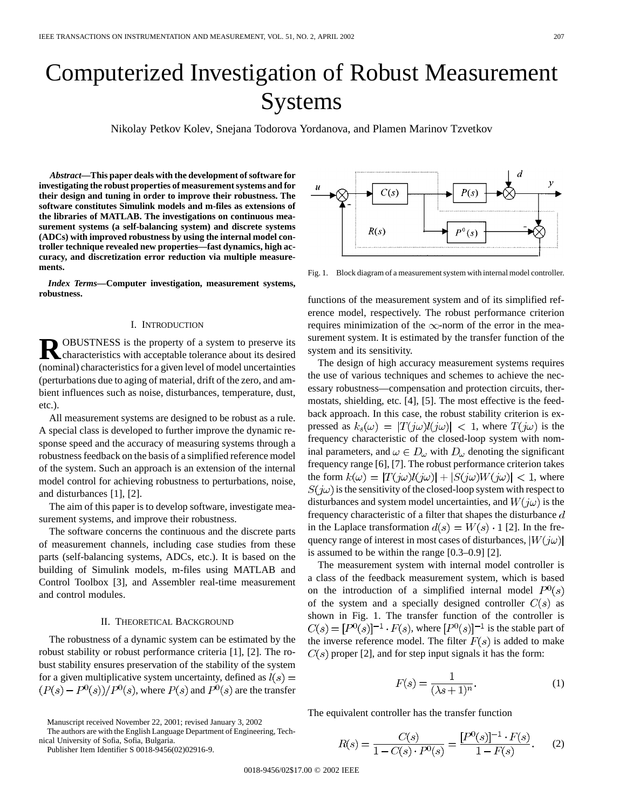# Computerized Investigation of Robust Measurement Systems

Nikolay Petkov Kolev, Snejana Todorova Yordanova, and Plamen Marinov Tzvetkov

*Abstract—***This paper deals with the development of software for investigating the robust properties of measurement systems and for their design and tuning in order to improve their robustness. The software constitutes Simulink models and m-files as extensions of the libraries of MATLAB. The investigations on continuous measurement systems (a self-balancing system) and discrete systems (ADCs) with improved robustness by using the internal model controller technique revealed new properties—fast dynamics, high accuracy, and discretization error reduction via multiple measurements.**

*Index Terms—***Computer investigation, measurement systems, robustness.**

#### I. INTRODUCTION

**R**OBUSTNESS is the property of a system to preserve its characteristics with acceptable tolerance about its desired (nominal) characteristics for a given level of model uncertainties (perturbations due to aging of material, drift of the zero, and ambient influences such as noise, disturbances, temperature, dust, etc.).

All measurement systems are designed to be robust as a rule. A special class is developed to further improve the dynamic response speed and the accuracy of measuring systems through a robustness feedback on the basis of a simplified reference model of the system. Such an approach is an extension of the internal model control for achieving robustness to perturbations, noise, and disturbances [1], [2].

The aim of this paper is to develop software, investigate measurement systems, and improve their robustness.

The software concerns the continuous and the discrete parts of measurement channels, including case studies from these parts (self-balancing systems, ADCs, etc.). It is based on the building of Simulink models, m-files using MATLAB and Control Toolbox [3], and Assembler real-time measurement and control modules.

#### II. THEORETICAL BACKGROUND

The robustness of a dynamic system can be estimated by the robust stability or robust performance criteria [1], [2]. The robust stability ensures preservation of the stability of the system for a given multiplicative system uncertainty, defined as  $l(s)$  =  $(P(s) - P^{0}(s))/P^{0}(s)$ , where  $P(s)$  and  $P^{0}(s)$  are the transfer

Manuscript received November 22, 2001; revised January 3, 2002

The authors are with the English Language Department of Engineering, Technical University of Sofia, Sofia, Bulgaria.

Publisher Item Identifier S 0018-9456(02)02916-9.

 $P(s)$  $C(s)$  $P^{0}(s)$  $R(s)$ 

Fig. 1. Block diagram of a measurement system with internal model controller.

functions of the measurement system and of its simplified reference model, respectively. The robust performance criterion requires minimization of the  $\infty$ -norm of the error in the measurement system. It is estimated by the transfer function of the system and its sensitivity.

The design of high accuracy measurement systems requires the use of various techniques and schemes to achieve the necessary robustness—compensation and protection circuits, thermostats, shielding, etc. [4], [5]. The most effective is the feedback approach. In this case, the robust stability criterion is expressed as  $k_s(\omega) = |T(j\omega)l(j\omega)| < 1$ , where  $T(j\omega)$  is the frequency characteristic of the closed-loop system with nominal parameters, and  $\omega \in D_{\omega}$  with  $D_{\omega}$  denoting the significant frequency range [6], [7]. The robust performance criterion takes the form  $k(\omega) = |T(j\omega)l(j\omega)| + |S(j\omega)W(j\omega)| < 1$ , where  $S(j\omega)$  is the sensitivity of the closed-loop system with respect to disturbances and system model uncertainties, and  $W(j\omega)$  is the frequency characteristic of a filter that shapes the disturbance  $d$ in the Laplace transformation  $d(s) = W(s) \cdot 1$  [2]. In the frequency range of interest in most cases of disturbances,  $|W(j\omega)|$ is assumed to be within the range [0.3–0.9] [2].

The measurement system with internal model controller is a class of the feedback measurement system, which is based on the introduction of a simplified internal model  $P^0(s)$ of the system and a specially designed controller  $C(s)$  as shown in Fig. 1. The transfer function of the controller is  $C(s) = [P^0(s)]^{-1} \cdot F(s)$ , where  $[P^0(s)]^{-1}$  is the stable part of the inverse reference model. The filter  $F(s)$  is added to make  $C(s)$  proper [2], and for step input signals it has the form:

$$
F(s) = \frac{1}{(\lambda s + 1)^n}.
$$
 (1)

The equivalent controller has the transfer function

$$
R(s) = \frac{C(s)}{1 - C(s) \cdot P^{0}(s)} = \frac{[P^{0}(s)]^{-1} \cdot F(s)}{1 - F(s)}.
$$
 (2)

0018-9456/02\$17.00 © 2002 IEEE

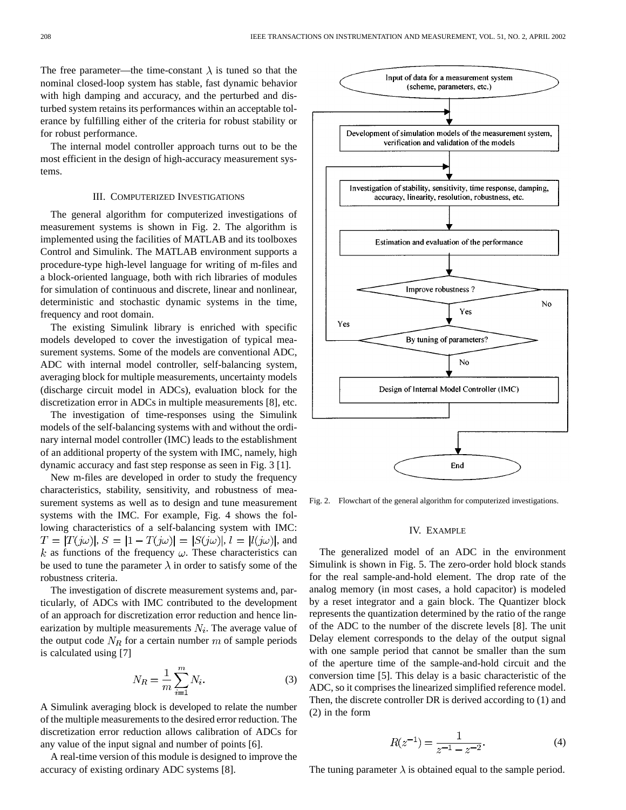The free parameter—the time-constant  $\lambda$  is tuned so that the nominal closed-loop system has stable, fast dynamic behavior with high damping and accuracy, and the perturbed and disturbed system retains its performances within an acceptable tolerance by fulfilling either of the criteria for robust stability or for robust performance.

The internal model controller approach turns out to be the most efficient in the design of high-accuracy measurement systems.

### III. COMPUTERIZED INVESTIGATIONS

The general algorithm for computerized investigations of measurement systems is shown in Fig. 2. The algorithm is implemented using the facilities of MATLAB and its toolboxes Control and Simulink. The MATLAB environment supports a procedure-type high-level language for writing of m-files and a block-oriented language, both with rich libraries of modules for simulation of continuous and discrete, linear and nonlinear, deterministic and stochastic dynamic systems in the time, frequency and root domain.

The existing Simulink library is enriched with specific models developed to cover the investigation of typical measurement systems. Some of the models are conventional ADC, ADC with internal model controller, self-balancing system, averaging block for multiple measurements, uncertainty models (discharge circuit model in ADCs), evaluation block for the discretization error in ADCs in multiple measurements [8], etc.

The investigation of time-responses using the Simulink models of the self-balancing systems with and without the ordinary internal model controller (IMC) leads to the establishment of an additional property of the system with IMC, namely, high dynamic accuracy and fast step response as seen in Fig. 3 [1].

New m-files are developed in order to study the frequency characteristics, stability, sensitivity, and robustness of measurement systems as well as to design and tune measurement systems with the IMC. For example, Fig. 4 shows the following characteristics of a self-balancing system with IMC:  $T = |T(j\omega)|$ ,  $S = |1 - T(j\omega)| = |S(j\omega)|$ ,  $l = |l(j\omega)|$ , and k as functions of the frequency  $\omega$ . These characteristics can be used to tune the parameter  $\lambda$  in order to satisfy some of the robustness criteria.

The investigation of discrete measurement systems and, particularly, of ADCs with IMC contributed to the development of an approach for discretization error reduction and hence linearization by multiple measurements  $N_i$ . The average value of the output code  $N_R$  for a certain number m of sample periods is calculated using [7]

$$
N_R = \frac{1}{m} \sum_{i=1}^{m} N_i.
$$
 (3)

A Simulink averaging block is developed to relate the number of the multiple measurements to the desired error reduction. The discretization error reduction allows calibration of ADCs for any value of the input signal and number of points [6].

A real-time version of this module is designed to improve the accuracy of existing ordinary ADC systems [8].



Fig. 2. Flowchart of the general algorithm for computerized investigations.

#### IV. EXAMPLE

The generalized model of an ADC in the environment Simulink is shown in Fig. 5. The zero-order hold block stands for the real sample-and-hold element. The drop rate of the analog memory (in most cases, a hold capacitor) is modeled by a reset integrator and a gain block. The Quantizer block represents the quantization determined by the ratio of the range of the ADC to the number of the discrete levels [8]. The unit Delay element corresponds to the delay of the output signal with one sample period that cannot be smaller than the sum of the aperture time of the sample-and-hold circuit and the conversion time [5]. This delay is a basic characteristic of the ADC, so it comprises the linearized simplified reference model. Then, the discrete controller DR is derived according to (1) and (2) in the form

$$
R(z^{-1}) = \frac{1}{z^{-1} - z^{-2}}.\tag{4}
$$

The tuning parameter  $\lambda$  is obtained equal to the sample period.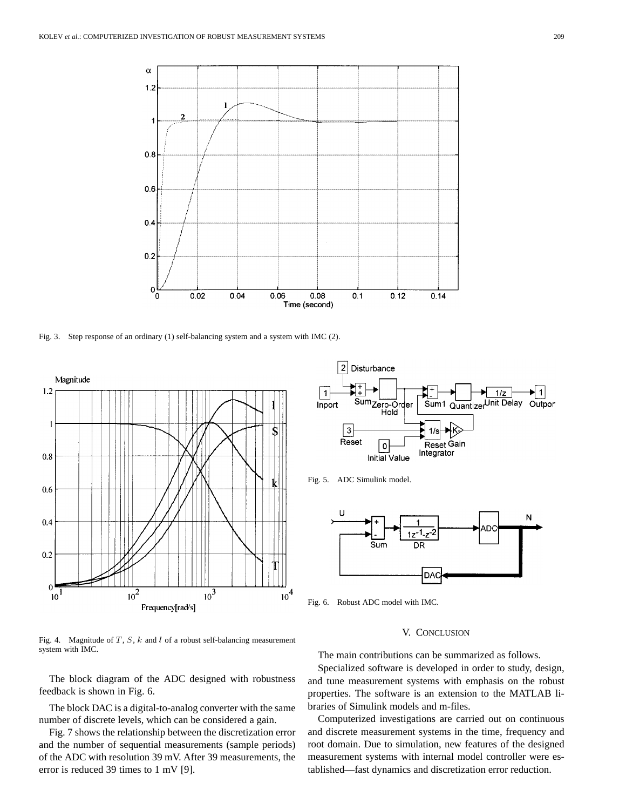

Fig. 3. Step response of an ordinary (1) self-balancing system and a system with IMC (2).



Fig. 4. Magnitude of  $T$ ,  $S$ ,  $k$  and  $l$  of a robust self-balancing measurement system with IMC.

The block diagram of the ADC designed with robustness feedback is shown in Fig. 6.

The block DAC is a digital-to-analog converter with the same number of discrete levels, which can be considered a gain.

Fig. 7 shows the relationship between the discretization error and the number of sequential measurements (sample periods) of the ADC with resolution 39 mV. After 39 measurements, the error is reduced 39 times to 1 mV [9].



Fig. 5. ADC Simulink model.



Fig. 6. Robust ADC model with IMC.

## V. CONCLUSION

The main contributions can be summarized as follows.

Specialized software is developed in order to study, design, and tune measurement systems with emphasis on the robust properties. The software is an extension to the MATLAB libraries of Simulink models and m-files.

Computerized investigations are carried out on continuous and discrete measurement systems in the time, frequency and root domain. Due to simulation, new features of the designed measurement systems with internal model controller were established—fast dynamics and discretization error reduction.